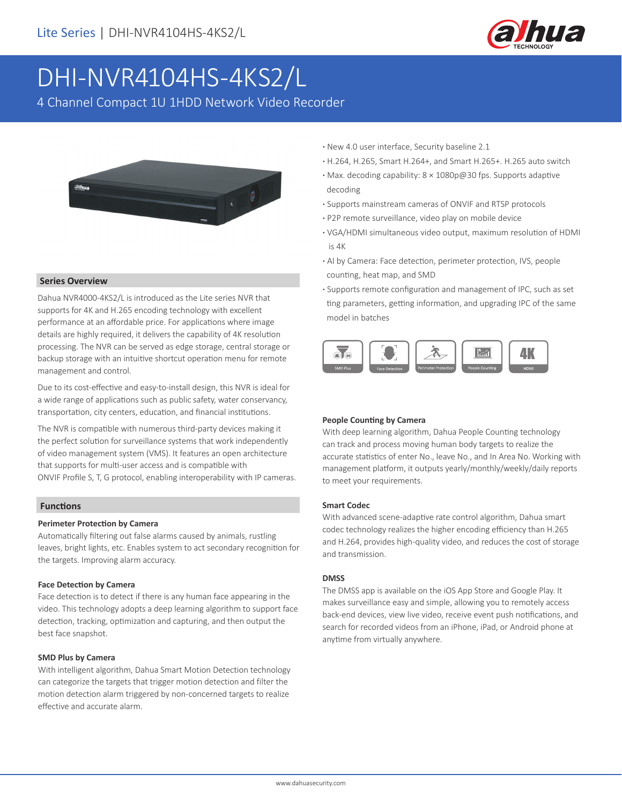

# DHI-NVR4104HS-4KS2/L

4 Channel Compact 1U 1HDD Network Video Recorder



#### **Series Overview**

Dahua NVR4000-4KS2/L is introduced as the Lite series NVR that supports for 4K and H.265 encoding technology with excellent performance at an affordable price. For applications where image details are highly required, it delivers the capability of 4K resolution processing. The NVR can be served as edge storage, central storage or backup storage with an intuitive shortcut operation menu for remote management and control.

Due to its cost-effective and easy-to-install design, this NVR is ideal for a wide range of applications such as public safety, water conservancy, transportation, city centers, education, and financial institutions.

The NVR is compatible with numerous third-party devices making it the perfect solution for surveillance systems that work independently of video management system (VMS). It features an open architecture that supports for multi-user access and is compatible with ONVIF Profile S, T, G protocol, enabling interoperability with IP cameras.

#### **Functions**

#### **Perimeter Protection by Camera**

Automatically filtering out false alarms caused by animals, rustling leaves, bright lights, etc. Enables system to act secondary recognition for the targets. Improving alarm accuracy.

#### **Face Detection by Camera**

Face detection is to detect if there is any human face appearing in the video. This technology adopts a deep learning algorithm to support face detection, tracking, optimization and capturing, and then output the best face snapshot.

#### **SMD Plus by Camera**

With intelligent algorithm, Dahua Smart Motion Detection technology can categorize the targets that trigger motion detection and filter the motion detection alarm triggered by non-concerned targets to realize effective and accurate alarm.

- **·** New 4.0 user interface, Security baseline 2.1
- **·** H.264, H.265, Smart H.264+, and Smart H.265+. H.265 auto switch
- **·** Max. decoding capability: 8 × 1080p@30 fps. Supports adaptive decoding
- **·** Supports mainstream cameras of ONVIF and RTSP protocols
- **·** P2P remote surveillance, video play on mobile device
- **·** VGA/HDMI simultaneous video output, maximum resolution of HDMI is 4K
- **·** AI by Camera: Face detection, perimeter protection, IVS, people counting, heat map, and SMD
- **·** Supports remote configuration and management of IPC, such as set ting parameters, getting information, and upgrading IPC of the same model in batches



#### **People Counting by Camera**

With deep learning algorithm, Dahua People Counting technology can track and process moving human body targets to realize the accurate statistics of enter No., leave No., and In Area No. Working with management platform, it outputs yearly/monthly/weekly/daily reports to meet your requirements.

#### **Smart Codec**

With advanced scene-adaptive rate control algorithm, Dahua smart codec technology realizes the higher encoding efficiency than H.265 and H.264, provides high-quality video, and reduces the cost of storage and transmission.

#### **DMSS**

The DMSS app is available on the iOS App Store and Google Play. It makes surveillance easy and simple, allowing you to remotely access back-end devices, view live video, receive event push notifications, and search for recorded videos from an iPhone, iPad, or Android phone at anytime from virtually anywhere.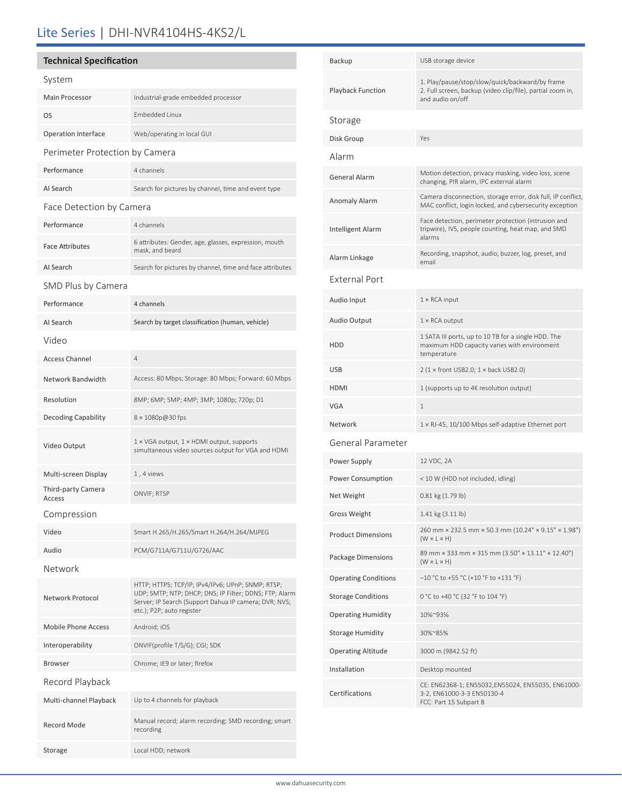# Lite Series | DHI-NVR4104HS-4KS2/L

## **Technical Specification**

| System                         |                                                                                                                                                                                                   |  |  |
|--------------------------------|---------------------------------------------------------------------------------------------------------------------------------------------------------------------------------------------------|--|--|
| Main Processor                 | Industrial-grade embedded processor                                                                                                                                                               |  |  |
| OS                             | <b>Embedded Linux</b>                                                                                                                                                                             |  |  |
| Operation Interface            | Web/operating in local GUI                                                                                                                                                                        |  |  |
| Perimeter Protection by Camera |                                                                                                                                                                                                   |  |  |
| Performance                    | 4 channels                                                                                                                                                                                        |  |  |
| AI Search                      | Search for pictures by channel, time and event type                                                                                                                                               |  |  |
| Face Detection by Camera       |                                                                                                                                                                                                   |  |  |
| Performance                    | 4 channels                                                                                                                                                                                        |  |  |
| <b>Face Attributes</b>         | 6 attributes: Gender, age, glasses, expression, mouth<br>mask, and beard                                                                                                                          |  |  |
| AI Search                      | Search for pictures by channel, time and face attributes                                                                                                                                          |  |  |
| SMD Plus by Camera             |                                                                                                                                                                                                   |  |  |
| Performance                    | 4 channels                                                                                                                                                                                        |  |  |
| AI Search                      | Search by target classification (human, vehicle)                                                                                                                                                  |  |  |
| Video                          |                                                                                                                                                                                                   |  |  |
| <b>Access Channel</b>          | $\overline{4}$                                                                                                                                                                                    |  |  |
| Network Bandwidth              | Access: 80 Mbps; Storage: 80 Mbps; Forward: 60 Mbps                                                                                                                                               |  |  |
| Resolution                     | 8MP; 6MP; 5MP; 4MP; 3MP; 1080p; 720p; D1                                                                                                                                                          |  |  |
| <b>Decoding Capability</b>     | 8 × 1080p@30 fps                                                                                                                                                                                  |  |  |
| Video Output                   | 1 × VGA output, 1 × HDMI output, supports<br>simultaneous video sources output for VGA and HDMI                                                                                                   |  |  |
| Multi-screen Display           | 1, 4 views                                                                                                                                                                                        |  |  |
| Third-party Camera<br>Access   | ONVIF; RTSP                                                                                                                                                                                       |  |  |
| Compression                    |                                                                                                                                                                                                   |  |  |
| Video                          | Smart H.265/H.265/Smart H.264/H.264/MJPEG                                                                                                                                                         |  |  |
| Audio                          | PCM/G711A/G711U/G726/AAC                                                                                                                                                                          |  |  |
| Network                        |                                                                                                                                                                                                   |  |  |
| Network Protocol               | HTTP; HTTPS; TCP/IP; IPv4/IPv6; UPnP; SNMP; RTSP;<br>UDP; SMTP; NTP; DHCP; DNS; IP Filter; DDNS; FTP; Alarm<br>Server; IP Search (Support Dahua IP camera; DVR; NVS;<br>etc.); P2P; auto register |  |  |
| <b>Mobile Phone Access</b>     | Android; iOS                                                                                                                                                                                      |  |  |
| Interoperability               | ONVIF(profile T/S/G); CGI; SDK                                                                                                                                                                    |  |  |
| <b>Browser</b>                 | Chrome; IE9 or later; firefox                                                                                                                                                                     |  |  |
| Record Playback                |                                                                                                                                                                                                   |  |  |
| Multi-channel Playback         | Up to 4 channels for playback                                                                                                                                                                     |  |  |
| Record Mode                    | Manual record; alarm recording; SMD recording; smart<br>recording                                                                                                                                 |  |  |
| Storage                        | Local HDD; network                                                                                                                                                                                |  |  |

| Backup                      | USB storage device                                                                                                                |  |
|-----------------------------|-----------------------------------------------------------------------------------------------------------------------------------|--|
| Playback Function           | 1. Play/pause/stop/slow/quick/backward/by frame<br>2. Full screen, backup (video clip/file), partial zoom in,<br>and audio on/off |  |
| Storage                     |                                                                                                                                   |  |
| Disk Group                  | Yes                                                                                                                               |  |
| Alarm                       |                                                                                                                                   |  |
| General Alarm               | Motion detection, privacy masking, video loss, scene<br>changing, PIR alarm, IPC external alarm                                   |  |
| Anomaly Alarm               | Camera disconnection, storage error, disk full, IP conflict,<br>MAC conflict, login locked, and cybersecurity exception           |  |
| Intelligent Alarm           | Face detection, perimeter protection (intrusion and<br>tripwire), IVS, people counting, heat map, and SMD<br>alarms               |  |
| Alarm Linkage               | Recording, snapshot, audio, buzzer, log, preset, and<br>email                                                                     |  |
| External Port               |                                                                                                                                   |  |
| Audio Input                 | $1 \times$ RCA input                                                                                                              |  |
| Audio Output                | $1 \times$ RCA output                                                                                                             |  |
| HDD                         | 1 SATA III ports, up to 10 TB for a single HDD. The<br>maximum HDD capacity varies with environment<br>temperature                |  |
| USB                         | $2(1 \times$ front USB2.0; $1 \times$ back USB2.0)                                                                                |  |
| HDMI                        | 1 (supports up to 4K resolution output)                                                                                           |  |
| VGA                         | 1                                                                                                                                 |  |
| Network                     | 1 × RJ-45, 10/100 Mbps self-adaptive Ethernet port                                                                                |  |
| General Parameter           |                                                                                                                                   |  |
| Power Supply                | 12 VDC, 2A                                                                                                                        |  |
| Power Consumption           | < 10 W (HDD not included, idling)                                                                                                 |  |
| Net Weight                  | $0.81$ kg $(1.79$ lb)                                                                                                             |  |
| Gross Weight                | $1.41 \text{ kg} (3.11 \text{ lb})$                                                                                               |  |
| <b>Product Dimensions</b>   | 260 mm × 232.5 mm × 50.3 mm (10.24" × 9.15" × 1.98")<br>$(W \times L \times H)$                                                   |  |
| Package Dimensions          | 89 mm × 333 mm × 315 mm (3.50" × 13.11" × 12.40")<br>$(W \times L \times H)$                                                      |  |
| <b>Operating Conditions</b> | $-10$ °C to +55 °C (+10 °F to +131 °F)                                                                                            |  |
| <b>Storage Conditions</b>   | 0 °C to +40 °C (32 °F to 104 °F)                                                                                                  |  |
| Operating Humidity          | 10%~93%                                                                                                                           |  |
| Storage Humidity            | 30%~85%                                                                                                                           |  |
| Operating Altitude          | 3000 m (9842.52 ft)                                                                                                               |  |
| Installation                | Desktop mounted                                                                                                                   |  |
| Certifications              | CE: EN62368-1; EN55032,EN55024, EN55035, EN61000-<br>3-2, EN61000-3-3 EN50130-4<br>FCC: Part 15 Subpart B                         |  |
|                             |                                                                                                                                   |  |